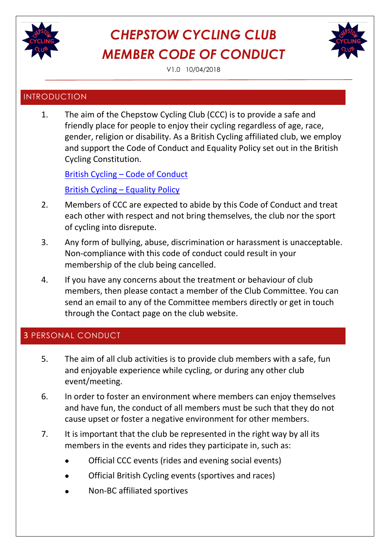

V1.0 10/04/2018

### INTRODUCTION

1. The aim of the Chepstow Cycling Club (CCC) is to provide a safe and friendly place for people to enjoy their cycling regardless of age, race, gender, religion or disability. As a British Cycling affiliated club, we employ and support the Code of Conduct and Equality Policy set out in the British Cycling Constitution.

British Cycling – [Code of Conduct](https://www.britishcycling.org.uk/zuvvi/media/bc_files/corporate/2013_Rulebook_CODE_OF_CONDUCT.pdf) [British Cycling](http://www.britishcycling.org.uk/zuvvi/media/bc_files/corporate/60-61_-_EQUALITY_POLICY_2011.pdf) – Equality Policy

- 2. Members of CCC are expected to abide by this Code of Conduct and treat each other with respect and not bring themselves, the club nor the sport of cycling into disrepute.
- 3. Any form of bullying, abuse, discrimination or harassment is unacceptable. Non-compliance with this code of conduct could result in your membership of the club being cancelled.
- 4. If you have any concerns about the treatment or behaviour of club members, then please contact a member of the Club Committee. You can send an email to any of the Committee members directly or get in touch through the [Contact page](http://www.bmcc2000.com/about-bmcc/contact-bmcc/) on the club website.

### 3 PERSONAL CONDUCT

- 5. The aim of all club activities is to provide club members with a safe, fun and enjoyable experience while cycling, or during any other club event/meeting.
- 6. In order to foster an environment where members can enjoy themselves and have fun, the conduct of all members must be such that they do not cause upset or foster a negative environment for other members.
- 7. It is important that the club be represented in the right way by all its members in the events and rides they participate in, such as:
	- Official CCC events (rides and evening social events)
	- Official British Cycling events (sportives and races)
	- Non-BC affiliated sportives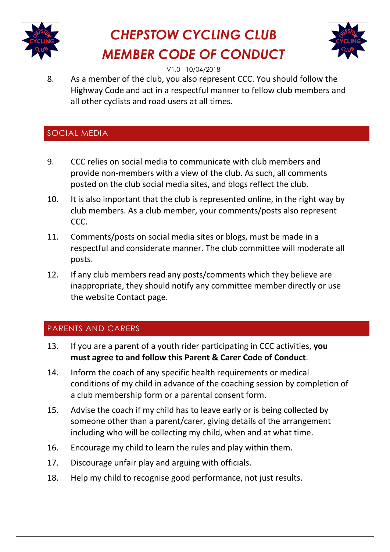



V1.0 10/04/2018

8. As a member of the club, you also represent CCC. You should follow the Highway Code and act in a respectful manner to fellow club members and all other cyclists and road users at all times.

### SOCIAL MEDIA

- 9. CCC relies on social media to communicate with club members and provide non-members with a view of the club. As such, all comments posted on the club social media sites, and blogs reflect the club.
- 10. It is also important that the club is represented online, in the right way by club members. As a club member, your comments/posts also represent CCC.
- 11. Comments/posts on social media sites or blogs, must be made in a respectful and considerate manner. The club committee will moderate all posts.
- 12. If any club members read any posts/comments which they believe are inappropriate, they should notify any committee member directly or use the website Contact page.

### PARENTS AND CARERS

- 13. If you are a parent of a youth rider participating in CCC activities, **you must agree to and follow this Parent & Carer Code of Conduct**.
- 14. Inform the coach of any specific health requirements or medical conditions of my child in advance of the coaching session by completion of a club membership form or a parental consent form.
- 15. Advise the coach if my child has to leave early or is being collected by someone other than a parent/carer, giving details of the arrangement including who will be collecting my child, when and at what time.
- 16. Encourage my child to learn the rules and play within them.
- 17. Discourage unfair play and arguing with officials.
- 18. Help my child to recognise good performance, not just results.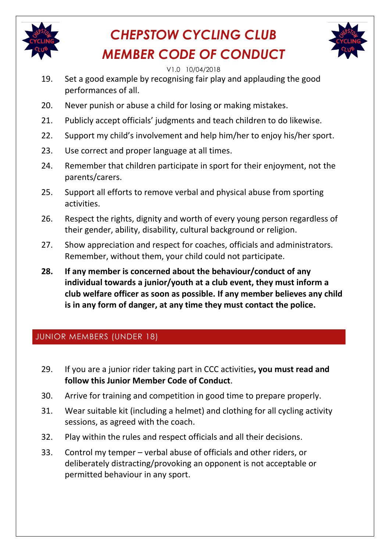



#### V1.0 10/04/2018

- 19. Set a good example by recognising fair play and applauding the good performances of all.
- 20. Never punish or abuse a child for losing or making mistakes.
- 21. Publicly accept officials' judgments and teach children to do likewise.
- 22. Support my child's involvement and help him/her to enjoy his/her sport.
- 23. Use correct and proper language at all times.
- 24. Remember that children participate in sport for their enjoyment, not the parents/carers.
- 25. Support all efforts to remove verbal and physical abuse from sporting activities.
- 26. Respect the rights, dignity and worth of every young person regardless of their gender, ability, disability, cultural background or religion.
- 27. Show appreciation and respect for coaches, officials and administrators. Remember, without them, your child could not participate.
- **28. If any member is concerned about the behaviour/conduct of any individual towards a junior/youth at a club event, they must inform a club welfare officer as soon as possible. If any member believes any child is in any form of danger, at any time they must contact the police.**

### JUNIOR MEMBERS (UNDER 18)

- 29. If you are a junior rider taking part in CCC activities**, you must read and follow this Junior Member Code of Conduct**.
- 30. Arrive for training and competition in good time to prepare properly.
- 31. Wear suitable kit (including a helmet) and clothing for all cycling activity sessions, as agreed with the coach.
- 32. Play within the rules and respect officials and all their decisions.
- 33. Control my temper verbal abuse of officials and other riders, or deliberately distracting/provoking an opponent is not acceptable or permitted behaviour in any sport.